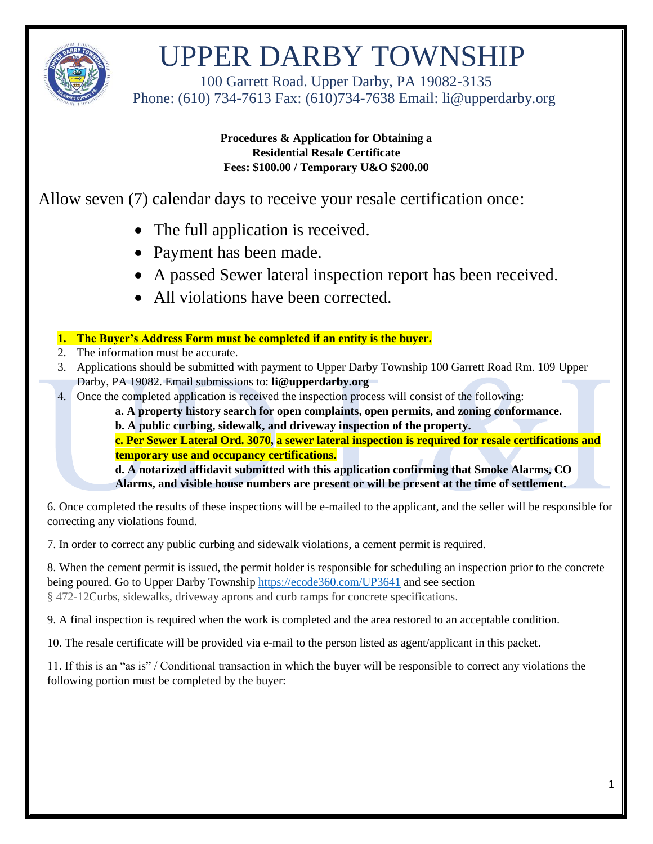

 100 Garrett Road. Upper Darby, PA 19082-3135 Phone: (610) 734-7613 Fax: (610)734-7638 Email: li@upperdarby.org

> **Procedures & Application for Obtaining a Residential Resale Certificate Fees: \$100.00 / Temporary U&O \$200.00**

Allow seven (7) calendar days to receive your resale certification once:

- The full application is received.
- Payment has been made.
- A passed Sewer lateral inspection report has been received.
- All violations have been corrected.

#### **1. The Buyer's Address Form must be completed if an entity is the buyer.**

- 2. The information must be accurate.
- 3. Applications should be submitted with payment to Upper Darby Township 100 Garrett Road Rm. 109 Upper Darby, PA 19082. Email submissions to: **li@upperdarby.org**
- 4. Once the completed application is received the inspection process will consist of the following:

**a. A property history search for open complaints, open permits, and zoning conformance.** 

**b. A public curbing, sidewalk, and driveway inspection of the property.** 

**c. Per Sewer Lateral Ord. 3070, a sewer lateral inspection is required for resale certifications and temporary use and occupancy certifications.**

**d. A notarized affidavit submitted with this application confirming that Smoke Alarms, CO Alarms, and visible house numbers are present or will be present at the time of settlement.** 

6. Once completed the results of these inspections will be e-mailed to the applicant, and the seller will be responsible for correcting any violations found.

7. In order to correct any public curbing and sidewalk violations, a cement permit is required.

8. When the cement permit is issued, the permit holder is responsible for scheduling an inspection prior to the concrete being poured. Go to Upper Darby Township<https://ecode360.com/UP3641> and see section § 472-12Curbs, sidewalks, driveway aprons and curb ramps for concrete specifications.

9. A final inspection is required when the work is completed and the area restored to an acceptable condition.

10. The resale certificate will be provided via e-mail to the person listed as agent/applicant in this packet.

11. If this is an "as is" / Conditional transaction in which the buyer will be responsible to correct any violations the following portion must be completed by the buyer: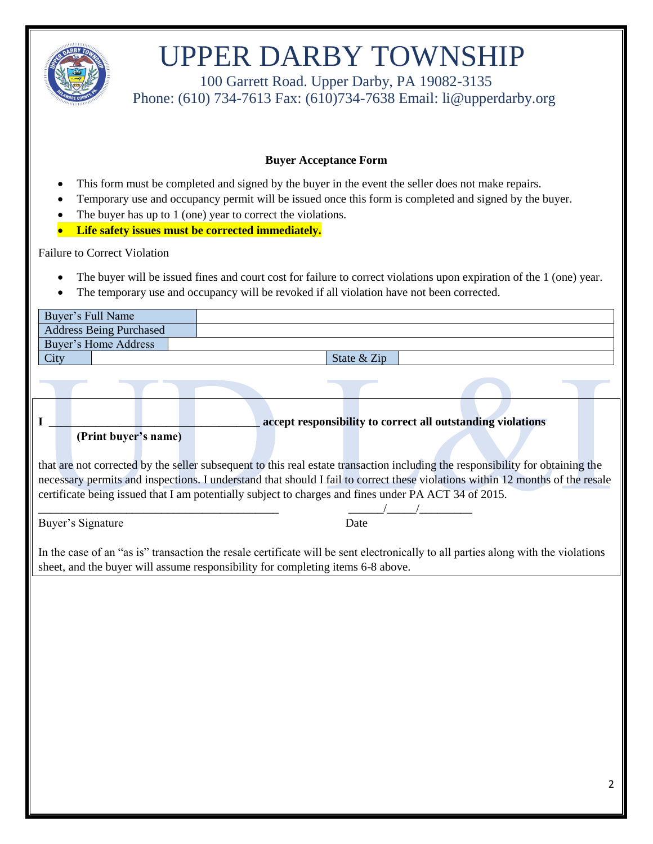

 100 Garrett Road. Upper Darby, PA 19082-3135 Phone: (610) 734-7613 Fax: (610)734-7638 Email: li@upperdarby.org

#### **Buyer Acceptance Form**

- This form must be completed and signed by the buyer in the event the seller does not make repairs.
- Temporary use and occupancy permit will be issued once this form is completed and signed by the buyer.
- The buyer has up to 1 (one) year to correct the violations.
- **Life safety issues must be corrected immediately.**

#### Failure to Correct Violation

- The buyer will be issued fines and court cost for failure to correct violations upon expiration of the 1 (one) year.
- The temporary use and occupancy will be revoked if all violation have not been corrected.

| Buyer's Full Name                   |                                                                                                                                                                                                                                                                                                                                                                         |
|-------------------------------------|-------------------------------------------------------------------------------------------------------------------------------------------------------------------------------------------------------------------------------------------------------------------------------------------------------------------------------------------------------------------------|
| <b>Address Being Purchased</b>      |                                                                                                                                                                                                                                                                                                                                                                         |
| <b>Buyer's Home Address</b>         |                                                                                                                                                                                                                                                                                                                                                                         |
| City                                | State & Zip                                                                                                                                                                                                                                                                                                                                                             |
|                                     |                                                                                                                                                                                                                                                                                                                                                                         |
| $\mathbf I$<br>(Print buyer's name) | accept responsibility to correct all outstanding violations                                                                                                                                                                                                                                                                                                             |
|                                     | that are not corrected by the seller subsequent to this real estate transaction including the responsibility for obtaining the<br>necessary permits and inspections. I understand that should I fail to correct these violations within 12 months of the resale<br>certificate being issued that I am potentially subject to charges and fines under PA ACT 34 of 2015. |
| Buyer's Signature                   | Date                                                                                                                                                                                                                                                                                                                                                                    |
|                                     | In the case of an "as is" transaction the resale certificate will be sent electronically to all parties along with the violations<br>sheet, and the buyer will assume responsibility for completing items 6-8 above.                                                                                                                                                    |
|                                     |                                                                                                                                                                                                                                                                                                                                                                         |
|                                     |                                                                                                                                                                                                                                                                                                                                                                         |
|                                     |                                                                                                                                                                                                                                                                                                                                                                         |
|                                     |                                                                                                                                                                                                                                                                                                                                                                         |
|                                     |                                                                                                                                                                                                                                                                                                                                                                         |
|                                     |                                                                                                                                                                                                                                                                                                                                                                         |
|                                     |                                                                                                                                                                                                                                                                                                                                                                         |
|                                     |                                                                                                                                                                                                                                                                                                                                                                         |
|                                     | 2                                                                                                                                                                                                                                                                                                                                                                       |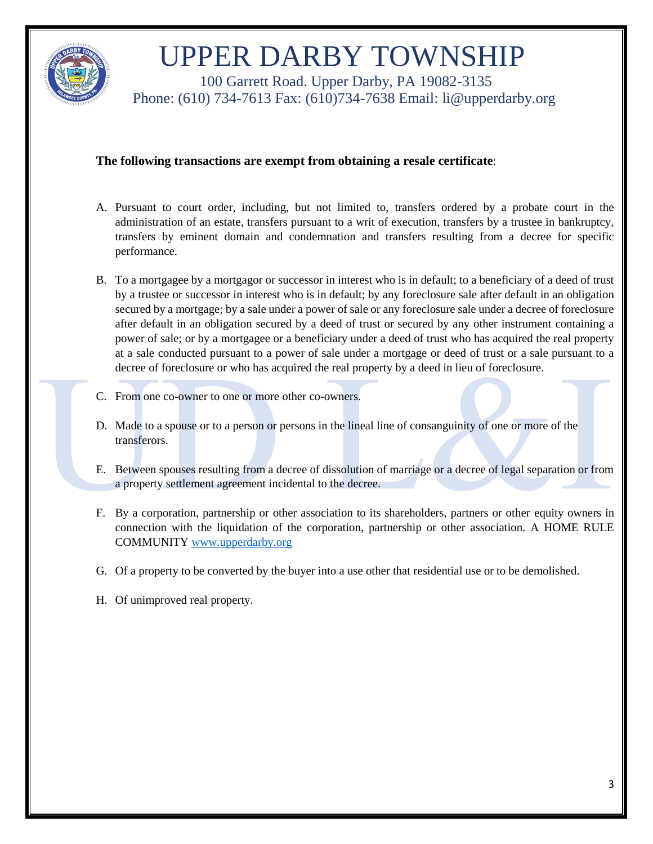

 100 Garrett Road. Upper Darby, PA 19082-3135 Phone: (610) 734-7613 Fax: (610)734-7638 Email: li@upperdarby.org

#### **The following transactions are exempt from obtaining a resale certificate**:

- A. Pursuant to court order, including, but not limited to, transfers ordered by a probate court in the administration of an estate, transfers pursuant to a writ of execution, transfers by a trustee in bankruptcy, transfers by eminent domain and condemnation and transfers resulting from a decree for specific performance.
- B. To a mortgagee by a mortgagor or successor in interest who is in default; to a beneficiary of a deed of trust by a trustee or successor in interest who is in default; by any foreclosure sale after default in an obligation secured by a mortgage; by a sale under a power of sale or any foreclosure sale under a decree of foreclosure after default in an obligation secured by a deed of trust or secured by any other instrument containing a power of sale; or by a mortgagee or a beneficiary under a deed of trust who has acquired the real property at a sale conducted pursuant to a power of sale under a mortgage or deed of trust or a sale pursuant to a decree of foreclosure or who has acquired the real property by a deed in lieu of foreclosure.
- C. From one co-owner to one or more other co-owners.
- D. Made to a spouse or to a person or persons in the lineal line of consanguinity of one or more of the transferors.
- E. Between spouses resulting from a decree of dissolution of marriage or a decree of legal separation or from a property settlement agreement incidental to the decree.
- F. By a corporation, partnership or other association to its shareholders, partners or other equity owners in connection with the liquidation of the corporation, partnership or other association. A HOME RULE COMMUNITY [www.upperdarby.org](http://www.upperdarby.org/)
- G. Of a property to be converted by the buyer into a use other that residential use or to be demolished.
- H. Of unimproved real property.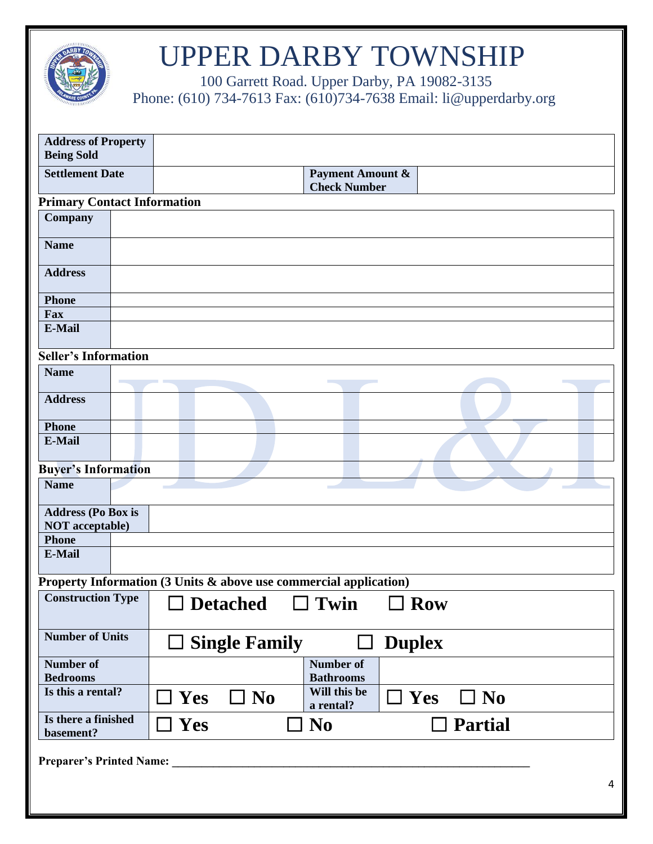

100 Garrett Road. Upper Darby, PA 19082-3135 **Phone:** (610) 734-7613 Fax: (610) 734-7638 Email: li@upperdarby.org

| <b>Address of Property</b><br><b>Being Sold</b>     |  |                                                                                 |
|-----------------------------------------------------|--|---------------------------------------------------------------------------------|
| <b>Settlement Date</b>                              |  | <b>Payment Amount &amp;</b><br><b>Check Number</b>                              |
| <b>Primary Contact Information</b>                  |  |                                                                                 |
| Company                                             |  |                                                                                 |
| <b>Name</b>                                         |  |                                                                                 |
| <b>Address</b>                                      |  |                                                                                 |
| <b>Phone</b>                                        |  |                                                                                 |
| Fax                                                 |  |                                                                                 |
| E-Mail                                              |  |                                                                                 |
| <b>Seller's Information</b>                         |  |                                                                                 |
| <b>Name</b>                                         |  |                                                                                 |
| <b>Address</b>                                      |  |                                                                                 |
| <b>Phone</b>                                        |  |                                                                                 |
| E-Mail                                              |  |                                                                                 |
| <b>Buyer's Information</b>                          |  |                                                                                 |
| <b>Name</b>                                         |  |                                                                                 |
| <b>Address (Po Box is</b><br><b>NOT</b> acceptable) |  |                                                                                 |
| <b>Phone</b>                                        |  |                                                                                 |
| <b>E-Mail</b>                                       |  |                                                                                 |
|                                                     |  | Property Information $(3$ Units $\&$ above use commercial application)          |
| <b>Construction Type</b>                            |  | Twin<br><b>Detached</b><br><b>Row</b>                                           |
| <b>Number of Units</b>                              |  | $\Box$ Single Family<br><b>Duplex</b>                                           |
| Number of<br><b>Bedrooms</b>                        |  | Number of<br><b>Bathrooms</b>                                                   |
| Is this a rental?                                   |  | Will this be<br>$\Box$ Yes<br>$\Box$ No<br>$\Box$ Yes<br>$\Box$ No<br>a rental? |
| Is there a finished<br>basement?                    |  | $\Box$ Yes<br><b>No</b><br><b>Partial</b>                                       |
| <b>Preparer's Printed Name:</b>                     |  |                                                                                 |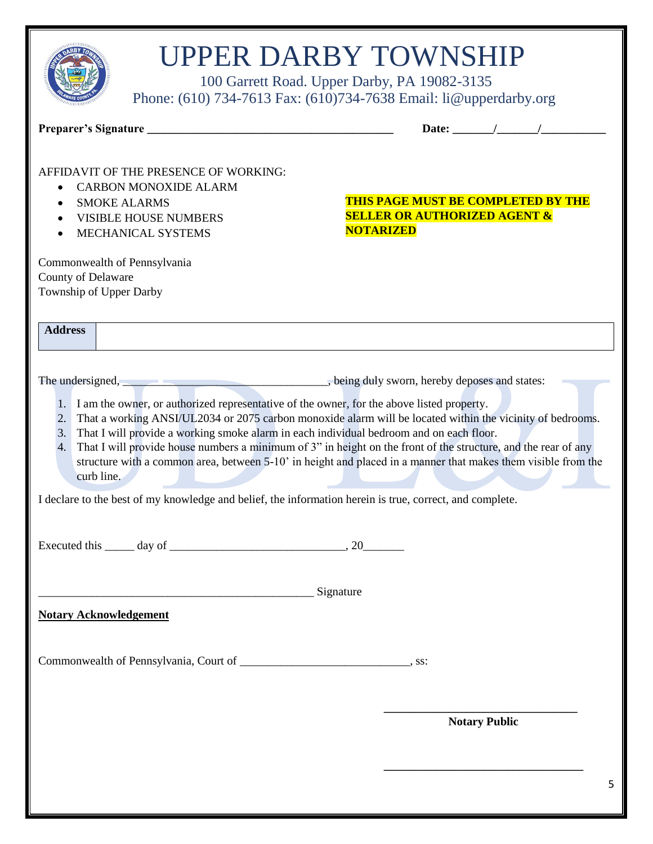| <b>UPPER DARBY TOWNSHIP</b><br>100 Garrett Road. Upper Darby, PA 19082-3135<br>Phone: (610) 734-7613 Fax: (610) 734-7638 Email: li@upperdarby.org                                                                                                                                                                                                                                                                                                                                                                                                                                                                                                                                                                                                                                                                                                                                                                     |                                                                                                                                                                                                                                                                                                                                                                                                                          |
|-----------------------------------------------------------------------------------------------------------------------------------------------------------------------------------------------------------------------------------------------------------------------------------------------------------------------------------------------------------------------------------------------------------------------------------------------------------------------------------------------------------------------------------------------------------------------------------------------------------------------------------------------------------------------------------------------------------------------------------------------------------------------------------------------------------------------------------------------------------------------------------------------------------------------|--------------------------------------------------------------------------------------------------------------------------------------------------------------------------------------------------------------------------------------------------------------------------------------------------------------------------------------------------------------------------------------------------------------------------|
|                                                                                                                                                                                                                                                                                                                                                                                                                                                                                                                                                                                                                                                                                                                                                                                                                                                                                                                       | Date: $\frac{1}{\sqrt{1-\frac{1}{2}}}\frac{1}{\sqrt{1-\frac{1}{2}}}\frac{1}{\sqrt{1-\frac{1}{2}}}\frac{1}{\sqrt{1-\frac{1}{2}}}\frac{1}{\sqrt{1-\frac{1}{2}}}\frac{1}{\sqrt{1-\frac{1}{2}}}\frac{1}{\sqrt{1-\frac{1}{2}}}\frac{1}{\sqrt{1-\frac{1}{2}}}\frac{1}{\sqrt{1-\frac{1}{2}}}\frac{1}{\sqrt{1-\frac{1}{2}}}\frac{1}{\sqrt{1-\frac{1}{2}}}\frac{1}{\sqrt{1-\frac{1}{2}}}\frac{1}{\sqrt{1-\frac{1}{2}}}\frac{1}{\$ |
| AFFIDAVIT OF THE PRESENCE OF WORKING:<br><b>CARBON MONOXIDE ALARM</b><br>$\bullet$<br><b>SMOKE ALARMS</b><br>$\bullet$<br><b>VISIBLE HOUSE NUMBERS</b><br>$\bullet$<br>MECHANICAL SYSTEMS<br>$\bullet$<br>Commonwealth of Pennsylvania<br>County of Delaware<br>Township of Upper Darby                                                                                                                                                                                                                                                                                                                                                                                                                                                                                                                                                                                                                               | THIS PAGE MUST BE COMPLETED BY THE<br><b>SELLER OR AUTHORIZED AGENT &amp;</b><br><b>NOTARIZED</b>                                                                                                                                                                                                                                                                                                                        |
| <b>Address</b>                                                                                                                                                                                                                                                                                                                                                                                                                                                                                                                                                                                                                                                                                                                                                                                                                                                                                                        |                                                                                                                                                                                                                                                                                                                                                                                                                          |
| The undersigned, https://www.com/martial.com/martial.com/martial.com/martial.com/martial.com/martial.com/martial.com/martial.com/martial.com/martial.com/martial.com/martial.com/martial.com/martial.com/martial.com/martial.c<br>1. I am the owner, or authorized representative of the owner, for the above listed property.<br>That a working ANSI/UL2034 or 2075 carbon monoxide alarm will be located within the vicinity of bedrooms.<br>2.<br>That I will provide a working smoke alarm in each individual bedroom and on each floor.<br>3.<br>That I will provide house numbers a minimum of 3" in height on the front of the structure, and the rear of any<br>4.<br>structure with a common area, between 5-10' in height and placed in a manner that makes them visible from the<br>curb line.<br>I declare to the best of my knowledge and belief, the information herein is true, correct, and complete. |                                                                                                                                                                                                                                                                                                                                                                                                                          |
| Executed this $\_\_\_\_$ day of $\_\_\_\_\_\_\_$ . 20                                                                                                                                                                                                                                                                                                                                                                                                                                                                                                                                                                                                                                                                                                                                                                                                                                                                 |                                                                                                                                                                                                                                                                                                                                                                                                                          |
| Signature Signature<br><b>Notary Acknowledgement</b>                                                                                                                                                                                                                                                                                                                                                                                                                                                                                                                                                                                                                                                                                                                                                                                                                                                                  |                                                                                                                                                                                                                                                                                                                                                                                                                          |
| Commonwealth of Pennsylvania, Court of __________________________________, ss:                                                                                                                                                                                                                                                                                                                                                                                                                                                                                                                                                                                                                                                                                                                                                                                                                                        |                                                                                                                                                                                                                                                                                                                                                                                                                          |
|                                                                                                                                                                                                                                                                                                                                                                                                                                                                                                                                                                                                                                                                                                                                                                                                                                                                                                                       | <b>Notary Public</b>                                                                                                                                                                                                                                                                                                                                                                                                     |
|                                                                                                                                                                                                                                                                                                                                                                                                                                                                                                                                                                                                                                                                                                                                                                                                                                                                                                                       | 5                                                                                                                                                                                                                                                                                                                                                                                                                        |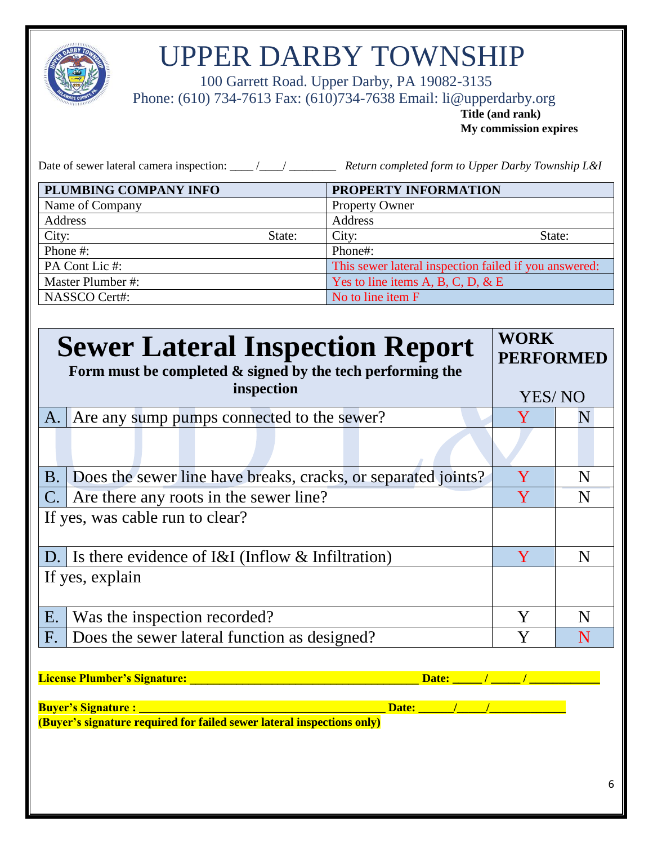

 100 Garrett Road. Upper Darby, PA 19082-3135 Phone: (610) 734-7613 Fax: (610)734-7638 Email: li@upperdarby.org

**Title (and rank) My commission expires**

Date of sewer lateral camera inspection: \_\_\_\_ /\_\_\_\_/ \_\_\_\_\_\_\_\_\_\_ *Return completed form to Upper Darby Township L&I* 

| PLUMBING COMPANY INFO |        | PROPERTY INFORMATION                                  |        |
|-----------------------|--------|-------------------------------------------------------|--------|
| Name of Company       |        | <b>Property Owner</b>                                 |        |
| Address               |        | Address                                               |        |
| City:                 | State: | City:                                                 | State: |
| Phone #:              |        | Phone#:                                               |        |
| PA Cont Lic #:        |        | This sewer lateral inspection failed if you answered: |        |
| Master Plumber #:     |        | Yes to line items A, B, C, D, & E                     |        |
| NASSCO Cert#:         |        | No to line item F                                     |        |

|                | <b>Sewer Lateral Inspection Report</b><br>Form must be completed $\&$ signed by the tech performing the | <b>WORK</b><br><b>PERFORMED</b> |   |  |  |
|----------------|---------------------------------------------------------------------------------------------------------|---------------------------------|---|--|--|
|                | inspection                                                                                              | YES/NO                          |   |  |  |
| A.             | Are any sump pumps connected to the sewer?                                                              |                                 | N |  |  |
|                |                                                                                                         |                                 |   |  |  |
| B.             | Does the sewer line have breaks, cracks, or separated joints?                                           | Y                               | N |  |  |
| $\mathbf{C}$ . | Are there any roots in the sewer line?                                                                  | Y                               | N |  |  |
|                | If yes, was cable run to clear?                                                                         |                                 |   |  |  |
| D.             | Is there evidence of $I&I$ (Inflow $&I$ Infiltration)                                                   | Y                               | N |  |  |
|                | If yes, explain                                                                                         |                                 |   |  |  |
| E.             | Was the inspection recorded?                                                                            | Y                               | N |  |  |
| F.             | Does the sewer lateral function as designed?                                                            | Y                               | N |  |  |
|                | <b>License Plumber's Signature:</b><br>$\mathcal{L} = \mathcal{L}$<br>Date:                             |                                 |   |  |  |
|                | Date: $\sqrt{1-\frac{1}{2}}$                                                                            |                                 |   |  |  |
|                | (Buyer's signature required for failed sewer lateral inspections only)                                  |                                 |   |  |  |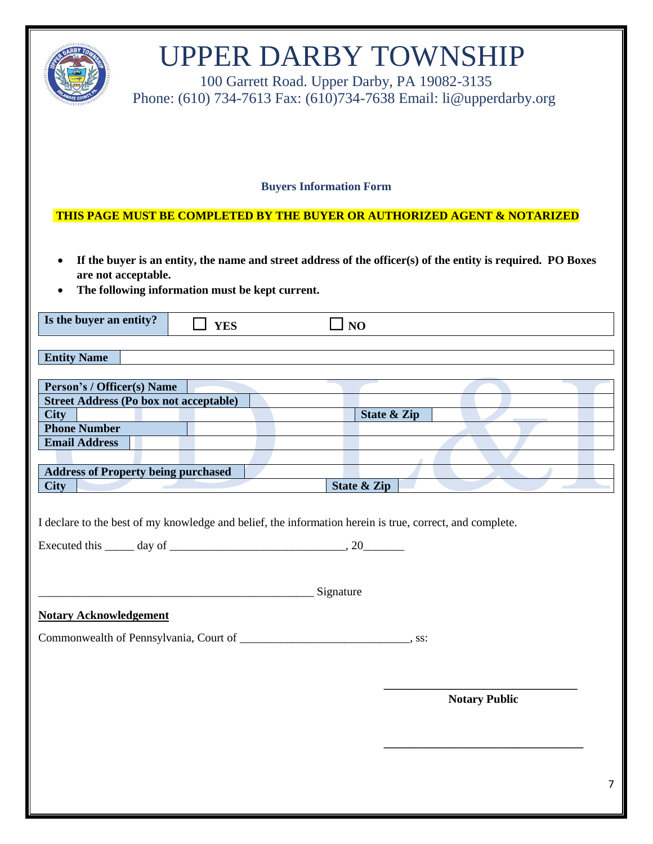|                                                                                                                                                                                                                  |                                                                                                                                                            |  | <b>UPPER DARBY TOWNSHIP</b><br>Phone: (610) 734-7613 Fax: (610) 734-7638 Email: li@upperdarby.org |            |  | 100 Garrett Road. Upper Darby, PA 19082-3135 |                        |             |  |                      |  |   |
|------------------------------------------------------------------------------------------------------------------------------------------------------------------------------------------------------------------|------------------------------------------------------------------------------------------------------------------------------------------------------------|--|---------------------------------------------------------------------------------------------------|------------|--|----------------------------------------------|------------------------|-------------|--|----------------------|--|---|
|                                                                                                                                                                                                                  |                                                                                                                                                            |  |                                                                                                   |            |  | <b>Buyers Information Form</b>               |                        |             |  |                      |  |   |
|                                                                                                                                                                                                                  | <u>THIS PAGE MUST BE COMPLETED BY THE BUYER OR AUTHORIZED AGENT &amp; NOTARIZED</u>                                                                        |  |                                                                                                   |            |  |                                              |                        |             |  |                      |  |   |
| If the buyer is an entity, the name and street address of the officer(s) of the entity is required. PO Boxes<br>$\bullet$<br>are not acceptable.<br>The following information must be kept current.<br>$\bullet$ |                                                                                                                                                            |  |                                                                                                   |            |  |                                              |                        |             |  |                      |  |   |
|                                                                                                                                                                                                                  | Is the buyer an entity?                                                                                                                                    |  |                                                                                                   | <b>YES</b> |  |                                              | N <sub>O</sub>         |             |  |                      |  |   |
| <b>Entity Name</b>                                                                                                                                                                                               |                                                                                                                                                            |  |                                                                                                   |            |  |                                              |                        |             |  |                      |  |   |
|                                                                                                                                                                                                                  | Person's / Officer(s) Name                                                                                                                                 |  |                                                                                                   |            |  |                                              |                        |             |  |                      |  |   |
|                                                                                                                                                                                                                  | <b>Street Address (Po box not acceptable)</b>                                                                                                              |  |                                                                                                   |            |  |                                              |                        |             |  |                      |  |   |
| <b>City</b>                                                                                                                                                                                                      | <b>Phone Number</b>                                                                                                                                        |  |                                                                                                   |            |  |                                              |                        | State & Zip |  |                      |  |   |
|                                                                                                                                                                                                                  | <b>Email Address</b>                                                                                                                                       |  |                                                                                                   |            |  |                                              |                        |             |  |                      |  |   |
|                                                                                                                                                                                                                  |                                                                                                                                                            |  |                                                                                                   |            |  |                                              |                        |             |  |                      |  |   |
|                                                                                                                                                                                                                  | <b>Address of Property being purchased</b>                                                                                                                 |  |                                                                                                   |            |  |                                              |                        |             |  |                      |  |   |
| <b>City</b>                                                                                                                                                                                                      |                                                                                                                                                            |  |                                                                                                   |            |  |                                              | <b>State &amp; Zip</b> |             |  |                      |  |   |
|                                                                                                                                                                                                                  | I declare to the best of my knowledge and belief, the information herein is true, correct, and complete.<br>Executed this $\_\_\_$ day of $\_\_\_\_\_\_\_$ |  |                                                                                                   |            |  |                                              |                        |             |  |                      |  |   |
|                                                                                                                                                                                                                  | Signature Signature                                                                                                                                        |  |                                                                                                   |            |  |                                              |                        |             |  |                      |  |   |
|                                                                                                                                                                                                                  | <b>Notary Acknowledgement</b>                                                                                                                              |  |                                                                                                   |            |  |                                              |                        |             |  |                      |  |   |
|                                                                                                                                                                                                                  |                                                                                                                                                            |  |                                                                                                   |            |  |                                              |                        |             |  |                      |  |   |
|                                                                                                                                                                                                                  |                                                                                                                                                            |  |                                                                                                   |            |  |                                              |                        |             |  | <b>Notary Public</b> |  | 7 |
|                                                                                                                                                                                                                  |                                                                                                                                                            |  |                                                                                                   |            |  |                                              |                        |             |  |                      |  |   |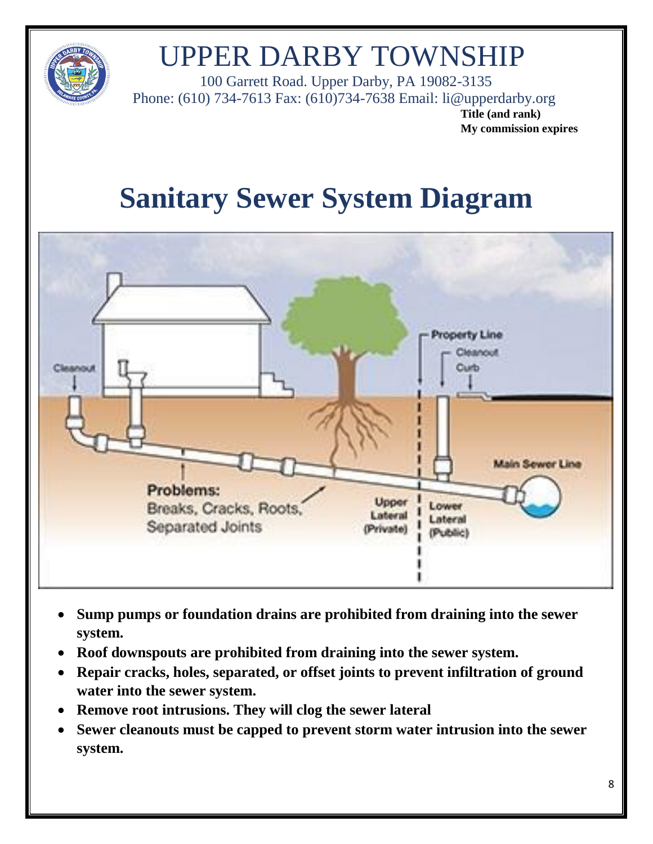

 100 Garrett Road. Upper Darby, PA 19082-3135 Phone: (610) 734-7613 Fax: (610)734-7638 Email: li@upperdarby.org

**Title (and rank) My commission expires**

### **Sanitary Sewer System Diagram**



- **Sump pumps or foundation drains are prohibited from draining into the sewer system.**
- **Roof downspouts are prohibited from draining into the sewer system.**
- **Repair cracks, holes, separated, or offset joints to prevent infiltration of ground water into the sewer system.**
- **Remove root intrusions. They will clog the sewer lateral**
- **Sewer cleanouts must be capped to prevent storm water intrusion into the sewer system.**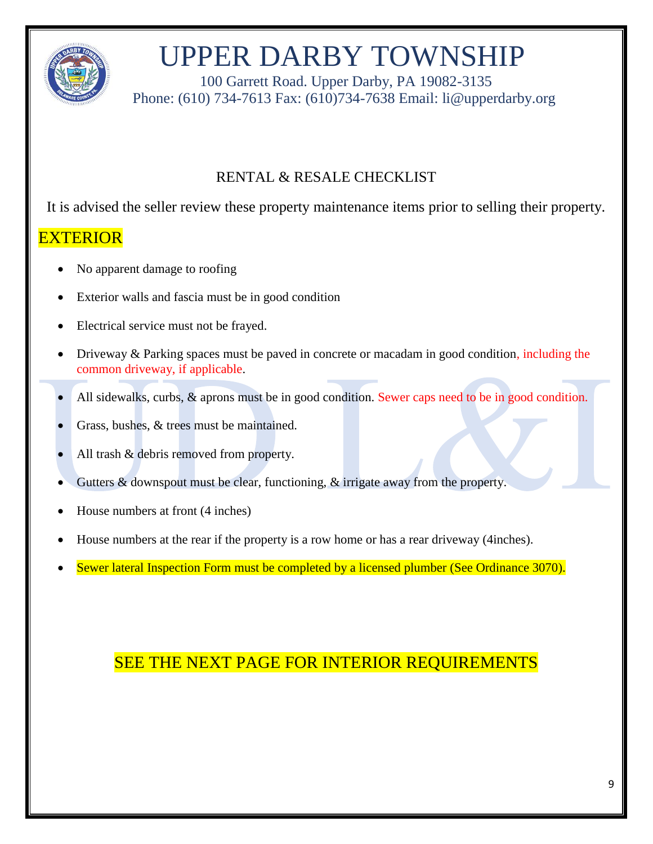

 100 Garrett Road. Upper Darby, PA 19082-3135 Phone: (610) 734-7613 Fax: (610)734-7638 Email: li@upperdarby.org

#### RENTAL & RESALE CHECKLIST

It is advised the seller review these property maintenance items prior to selling their property.

#### EXTERIOR

- No apparent damage to roofing
- Exterior walls and fascia must be in good condition
- Electrical service must not be frayed.
- Driveway & Parking spaces must be paved in concrete or macadam in good condition, including the common driveway, if applicable.
- All sidewalks, curbs, & aprons must be in good condition. Sewer caps need to be in good condition.
- Grass, bushes, & trees must be maintained.
- All trash & debris removed from property.
- Gutters & downspout must be clear, functioning, & irrigate away from the property.
- House numbers at front (4 inches)
- House numbers at the rear if the property is a row home or has a rear driveway (4inches).
- Sewer lateral Inspection Form must be completed by a licensed plumber (See Ordinance 3070).

#### SEE THE NEXT PAGE FOR INTERIOR REQUIREMENTS